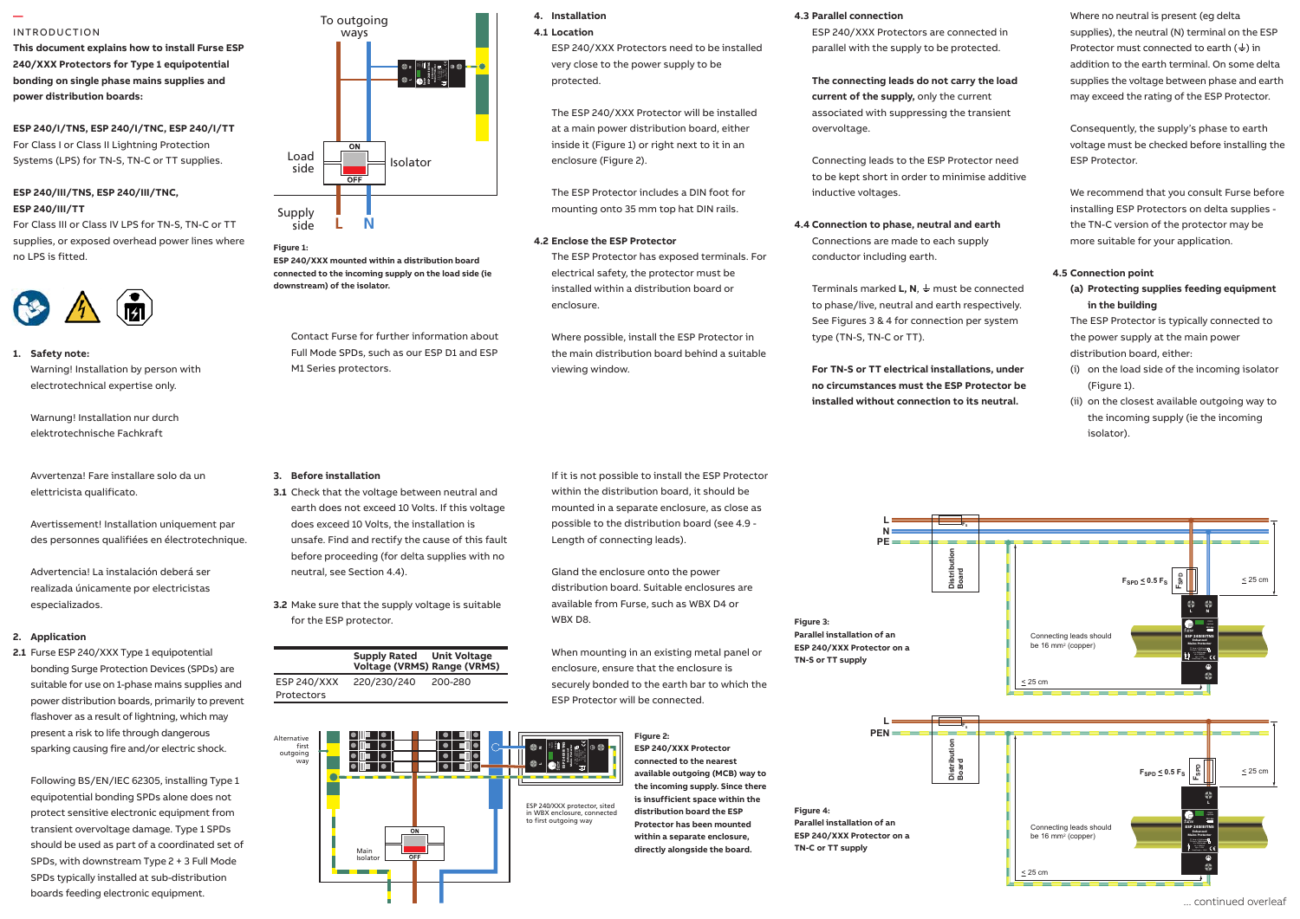## INTRODUCTION

**—** 

**This document explains how to install Furse ESP 240/XXX Protectors for Type 1 equipotential bonding on single phase mains supplies and power distribution boards:**

**ESP 240/I/TNS, ESP 240/I/TNC, ESP 240/I/TT** For Class I or Class II Lightning Protection Systems (LPS) for TN-S, TN-C or TT supplies.

# **ESP 240/III/TNS, ESP 240/III/TNC, ESP 240/III/TT**

For Class III or Class IV LPS for TN-S, TN-C or TT supplies, or exposed overhead power lines where no LPS is fitted.



# **1. Safety note:**

warning! Installation by person with  $M1$ electrotechnical expertise only.

Warnung! Installation nur durch elektrotechnische Fachkraft

Avvertenza! Fare installare solo da un **3.** I elettricista qualificato.

Avertissement! Inst Always handle cables by their insulation. Avertissement! Installation uniquement par and the des personnes qualifiées en électrotechnique. 
vun

Advertencia! La instalación deberá ser realizada únicamente por electricistas especializados. supply to be protected, either within the

# **2.** Application

Installation Instructions for Mains Wire-In Protectors | 1 **2.1** Furse ESP 240/XXX Type 1 equipotential bonding Surge Protection Devices (SPDs) are suitable for use on 1-phase mains supplies and power distribution boards, primarily to prevent flashover as a result of lightning, which may present a risk to life through dangerous sparking causing fire and/or electric shock.

Following BS/EN/IEC 62305, installing Type 1 equipotential bonding SPDs alone does not protect sensitive electronic equipment from transient overvoltage damage. Type 1 SPDs should be used as part of a coordinated set of SPDs, with downstream Type 2 + 3 Full Mode SPDs typically installed at sub-distribution boards feeding electronic equipment.



**L N** Supply **L N** side

1.4 Connect to phase(s), neutral and earth. 1 **downstream) of the isolator. Figure 1: ESP 240/XXX mounted within a distribution board connected to the incoming supply on the load side (ie** 

> Contact Furse for further information about Full Mode SPDs, such as our ESP D1 and ESP M1 Series protectors.

#### **3. Before installation**

**3.1** Check that the voltage between neutral and remote display variant which permits optimum positioning of both protector earth does not exceed 10 Volts. If this voltage does exceed 10 Volts, the installation is unsafe. Find and rectify the cause of this fault before proceeding (for delta supplies with no neutral, see Section 4.4).

 $1.11$  Maximum to  $\sim$  2.9Nm, wire stripping length 17mm. **3.2** Make sure that the supply voltage is suitable for the ESP protector.





**4. Installation**

**4.1 Location**

ESP 240/XXX Protectors need to be installed very close to the power supply to be protected.

The ESP 240/XXX Protector will be installed at a main power distribution board, either inside it (Figure 1) or right next to it in an enclosure (Figure 2).

The ESP Protector includes a DIN foot for mounting onto 35 mm top hat DIN rails.

# **4.2 Enclose the ESP Protector**

The ESP Protector has exposed terminals. For electrical safety, the protector must be installed within a distribution board or enclosure.

Where possible, install the ESP Protector in the main distribution board behind a suitable viewing window.

If it is not possible to install the ESP Protector within the distribution board, it should be mounted in a separate enclosure, as close as possible to the distribution board (see 4.9 - Length of connecting leads).

Gland the enclosure onto the power distribution board. Suitable enclosures are available from Furse, such as WBX D4 or WBX D8.

When mounting in an existing metal panel or enclosure, ensure that the enclosure is securely bonded to the earth bar to which the ESP Protector will be connected.



**Figure 3:** 

**Figure 4:** 

# **4.3 Parallel connection**

ESP 240/XXX Protectors are connected in parallel with the supply to be protected.

**The connecting leads do not carry the load current of the supply,** only the current associated with suppressing the transient overvoltage.

Connecting leads to the ESP Protector need to be kept short in order to minimise additive inductive voltages.

**4.4 Connection to phase, neutral and earth** Connections are made to each supply conductor including earth.

Terminals marked **L, N**,  $\frac{1}{2}$  must be connected to phase/live, neutral and earth respectively. See Figures 3 & 4 for connection per system type (TN-S, TN-C or TT).

**For TN-S or TT electrical installations, under no circumstances must the ESP Protector be installed without connection to its neutral.**

Where no neutral is present (eg delta supplies), the neutral (N) terminal on the ESP Protector must connected to earth  $(\frac{1}{2})$  in addition to the earth terminal. On some delta supplies the voltage between phase and earth may exceed the rating of the ESP Protector.

Consequently, the supply's phase to earth voltage must be checked before installing the ESP Protector.

We recommend that you consult Furse before installing ESP Protectors on delta supplies the TN-C version of the protector may be more suitable for your application.

# **4.5 Connection point**

**(a) Protecting supplies feeding equipment in the building**

The ESP Protector is typically connected to the power supply at the main power distribution board, either:

- (i) on the load side of the incoming isolator (Figure 1).
- (ii) on the closest available outgoing way to the incoming supply (ie the incoming isolator).





... continued overleaf